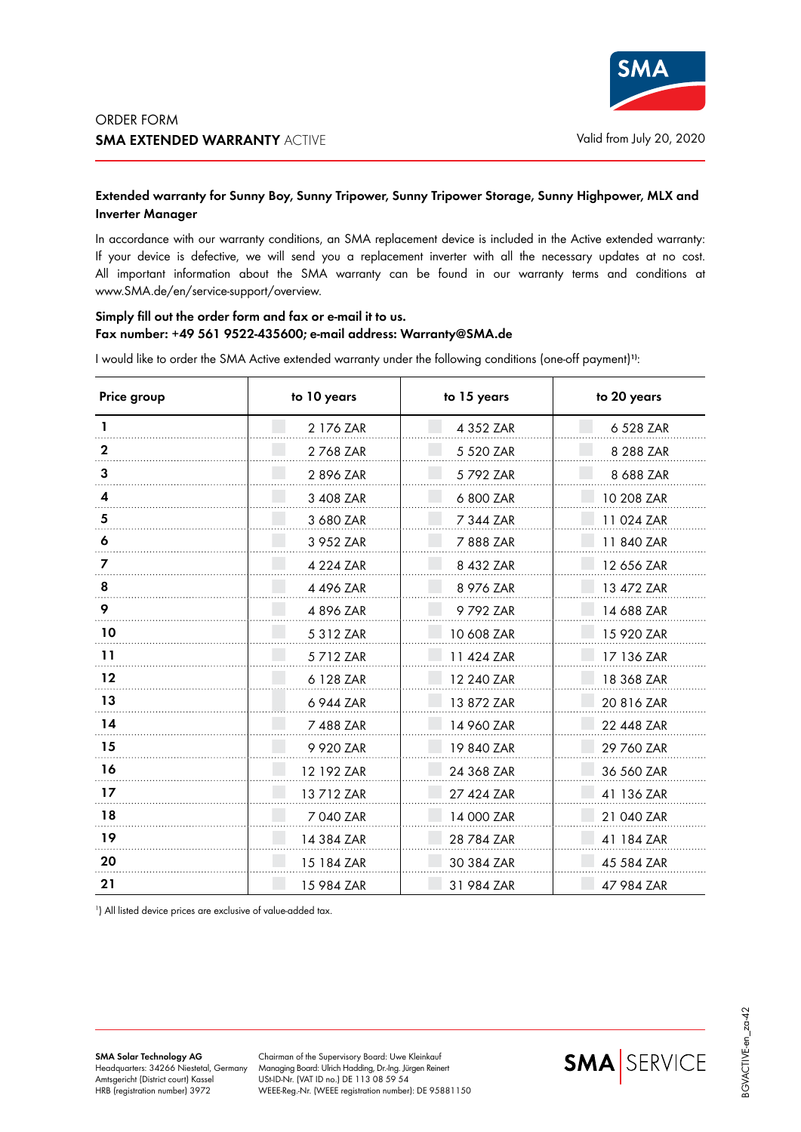

## **Extended warranty for Sunny Boy, Sunny Tripower, Sunny Tripower Storage, Sunny Highpower, MLX and Inverter Manager**

In accordance with our warranty conditions, an SMA replacement device is included in the Active extended warranty: If your device is defective, we will send you a replacement inverter with all the necessary updates at no cost. All important information about the SMA warranty can be found in our warranty terms and conditions at www.SMA.de/en/service-support/overview.

## **Simply fill out the order form and fax or e-mail it to us. Fax number: +49 561 9522-435600; e-mail address: Warranty@SMA.de**

I would like to order the SMA Active extended warranty under the following conditions (one-off payment)**1)**:

| Price group | to 10 years | to 15 years | to 20 years |
|-------------|-------------|-------------|-------------|
|             | 2 176 ZAR   | 4 352 ZAR   | 6 528 ZAR   |
| 2           | 2768 ZAR    | 5 5 2 0 ZAR | 8 288 ZAR   |
| 3           | 2 896 ZAR   | 5 792 ZAR   | 8 688 ZAR   |
| 4           | 3 408 ZAR   | 6 800 ZAR   | 10 208 ZAR  |
| 5           | 3 680 ZAR   | 7 344 ZAR   | 11 024 ZAR  |
| 6           | 3 952 ZAR   | 7888 ZAR    | 11 840 ZAR  |
|             | 4 224 ZAR   | 8 432 ZAR   | 12 656 ZAR  |
| 8           | 4 496 ZAR   | 8 976 ZAR   | 13 472 ZAR  |
| 9           | 4 896 ZAR   | 9792 ZAR    | 14 688 ZAR  |
| 10          | 5 312 ZAR   | 10 608 ZAR  | 15 920 ZAR  |
| 11          | 5712 ZAR    | 11 424 ZAR  | 17 136 ZAR  |
| $12 \$      | 6 128 ZAR   | 12 240 ZAR  | 18 368 ZAR  |
| 13          | 6 944 ZAR   | 13 872 ZAR  | 20 816 ZAR  |
| 14          | 7 488 ZAR   | 14 960 ZAR  | 22 448 ZAR  |
| 15          | 9 920 ZAR   | 19 840 ZAR  | 29 760 ZAR  |
| 16          | 12 192 ZAR  | 24 368 ZAR  | 36 560 ZAR  |
| 17          | 13712 ZAR   | 27 424 ZAR  | 41 136 ZAR  |
| 18          | 7 040 ZAR   | 14 000 ZAR  | 21 040 ZAR  |
| 19          | 14 384 ZAR  | 28 784 ZAR  | 41 184 ZAR  |
| 20          | 15 184 ZAR  | 30 384 ZAR  | 45 584 ZAR  |
| 21          | 15 984 ZAR  | 31 984 ZAR  | 47 984 ZAR  |

1 ) All listed device prices are exclusive of value-added tax.

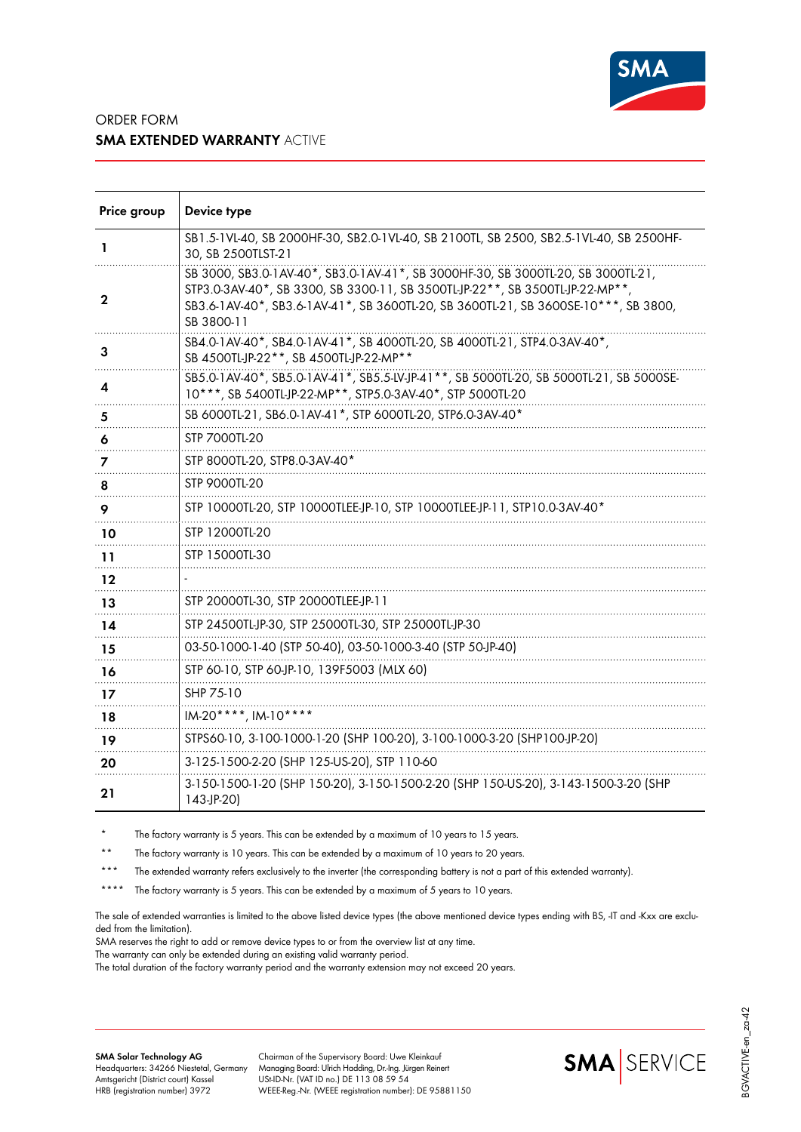

## ORDER FORM **SMA EXTENDED WARRANTY** ACTIVE

| Price group | Device type                                                                                                                                                                                                                                                           |
|-------------|-----------------------------------------------------------------------------------------------------------------------------------------------------------------------------------------------------------------------------------------------------------------------|
| 1           | SB1.5-1VL-40, SB 2000HF-30, SB2.0-1VL-40, SB 2100TL, SB 2500, SB2.5-1VL-40, SB 2500HF-<br>30, SB 2500TLST-21                                                                                                                                                          |
| 2           | SB 3000, SB3.0-1AV-40*, SB3.0-1AV-41*, SB 3000HF-30, SB 3000TL-20, SB 3000TL-21,<br>STP3.0-3AV-40*, SB 3300, SB 3300-11, SB 3500TL-JP-22**, SB 3500TL-JP-22-MP**<br>SB3.6-1AV-40*, SB3.6-1AV-41*, SB 3600TL-20, SB 3600TL-21, SB 3600SE-10***, SB 3800,<br>SB 3800-11 |
| З           | SB4.0-1AV-40*, SB4.0-1AV-41*, SB 4000TL-20, SB 4000TL-21, STP4.0-3AV-40*,<br>SB 4500TL-JP-22**, SB 4500TL-JP-22-MP**                                                                                                                                                  |
| 4           | SB5.0-1AV-40*, SB5.0-1AV-41*, SB5.5-LV-JP-41**, SB 5000TL-20, SB 5000TL-21, SB 5000SE-<br>10***, SB 5400TL-JP-22-MP**, STP5.0-3AV-40*, STP 5000TL-20                                                                                                                  |
| 5           | SB 6000TL-21, SB6.0-1AV-41*, STP 6000TL-20, STP6.0-3AV-40*                                                                                                                                                                                                            |
| 6           | STP 7000TL-20                                                                                                                                                                                                                                                         |
| 7           | STP 8000TL-20, STP8.0-3AV-40*                                                                                                                                                                                                                                         |
| 8           | STP 9000TL-20                                                                                                                                                                                                                                                         |
| 9           | STP 10000TL-20, STP 10000TLEE-JP-10, STP 10000TLEE-JP-11, STP10.0-3AV-40*                                                                                                                                                                                             |
| 10          | STP 12000TL-20                                                                                                                                                                                                                                                        |
| 11          | STP 15000TL-30                                                                                                                                                                                                                                                        |
| 12          |                                                                                                                                                                                                                                                                       |
| 13          | STP 20000TL-30, STP 20000TLEE-JP-11                                                                                                                                                                                                                                   |
| 14          | STP 24500TL-JP-30, STP 25000TL-30, STP 25000TL-JP-30                                                                                                                                                                                                                  |
| 15          | 03-50-1000-1-40 (STP 50-40), 03-50-1000-3-40 (STP 50-JP-40)                                                                                                                                                                                                           |
| 16          | STP 60-10, STP 60-JP-10, 139F5003 (MLX 60)                                                                                                                                                                                                                            |
| 17          | SHP 75-10                                                                                                                                                                                                                                                             |
| 18          | IM-20****, IM-10****                                                                                                                                                                                                                                                  |
| 19          | STPS60-10, 3-100-1000-1-20 (SHP 100-20), 3-100-1000-3-20 (SHP100-JP-20)                                                                                                                                                                                               |
| 20          | 3-125-1500-2-20 (SHP 125-US-20), STP 110-60                                                                                                                                                                                                                           |
| 21          | 3-150-1500-1-20 (SHP 150-20), 3-150-1500-2-20 (SHP 150-US-20), 3-143-1500-3-20 (SHP<br>$143-JP-20$                                                                                                                                                                    |

The factory warranty is 5 years. This can be extended by a maximum of 10 years to 15 years.

\*\* The factory warranty is 10 years. This can be extended by a maximum of 10 years to 20 years.

\*\*\* The extended warranty refers exclusively to the inverter (the corresponding battery is not a part of this extended warranty).

\*\*\*\* The factory warranty is 5 years. This can be extended by a maximum of 5 years to 10 years.

The sale of extended warranties is limited to the above listed device types (the above mentioned device types ending with BS, -IT and -Kxx are excluded from the limitation).

SMA reserves the right to add or remove device types to or from the overview list at any time.

The warranty can only be extended during an existing valid warranty period.

The total duration of the factory warranty period and the warranty extension may not exceed 20 years.